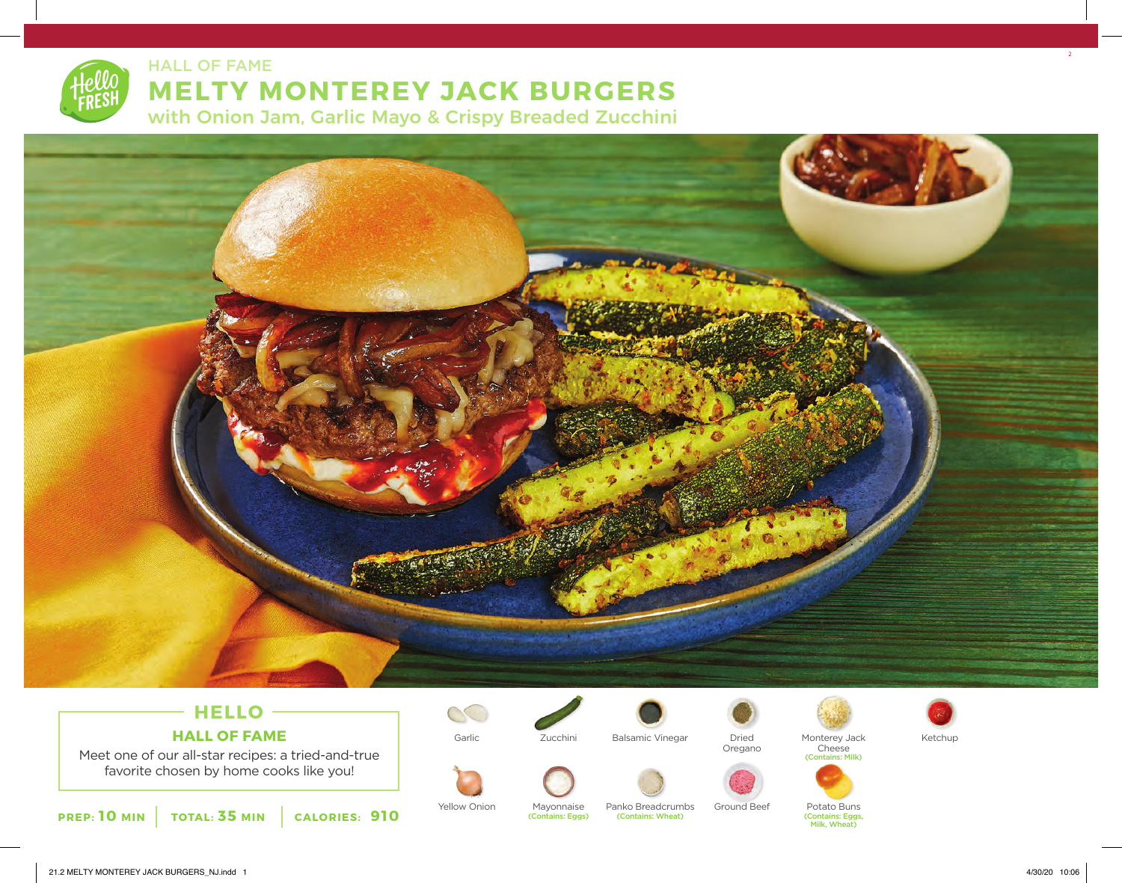

HALL OF FAME

# **MELTY MONTEREY JACK BURGERS**

with Onion Jam, Garlic Mayo & Crispy Breaded Zucchini



### **HELLO HALL OF FAME**

Meet one of our all-star recipes: a tried-and-true favorite chosen by home cooks like you!





Yellow Onion Mayonnaise Panko Breadcrumbs Ground Beef Potato Buns<br>Contains: Eggs) (Contains: Wheat) (Contains: Marchines: Eggs)

Zucchini

(Contains: Eggs)





Oregano

Garlic Dried Balsamic Vinegar Monterey Jack Cheese (Contains: Milk)



(Contains: Eggs, Milk, Wheat)



2